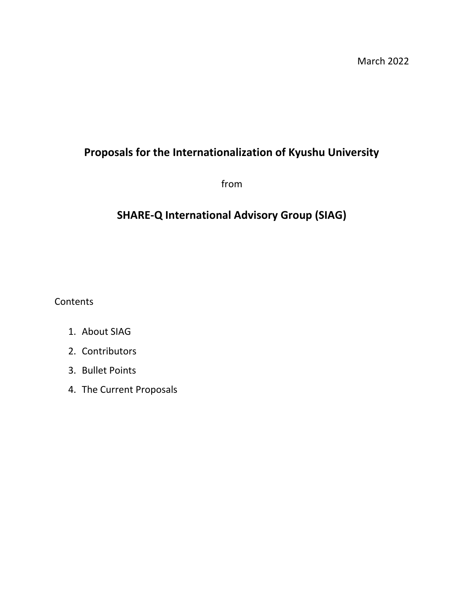# **Proposals for the Internationalization of Kyushu University**

from

# **SHARE-Q International Advisory Group (SIAG)**

**Contents** 

- 1. About SIAG
- 2. Contributors
- 3. Bullet Points
- 4. The Current Proposals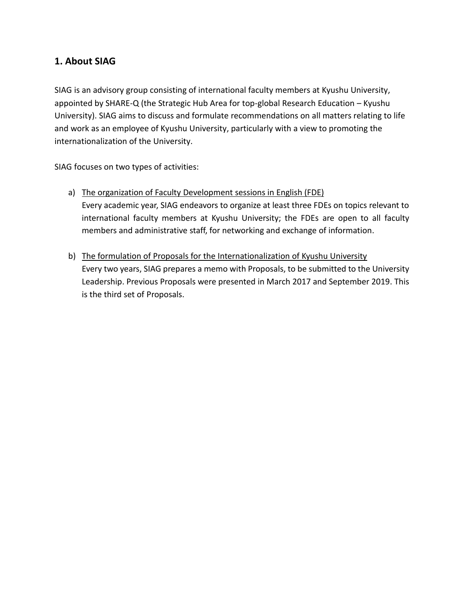## **1. About SIAG**

SIAG is an advisory group consisting of international faculty members at Kyushu University, appointed by SHARE-Q (the Strategic Hub Area for top-global Research Education – Kyushu University). SIAG aims to discuss and formulate recommendations on all matters relating to life and work as an employee of Kyushu University, particularly with a view to promoting the internationalization of the University.

SIAG focuses on two types of activities:

- a) The organization of Faculty Development sessions in English (FDE) Every academic year, SIAG endeavors to organize at least three FDEs on topics relevant to international faculty members at Kyushu University; the FDEs are open to all faculty members and administrative staff, for networking and exchange of information.
- b) The formulation of Proposals for the Internationalization of Kyushu University Every two years, SIAG prepares a memo with Proposals, to be submitted to the University Leadership. Previous Proposals were presented in March 2017 and September 2019. This is the third set of Proposals.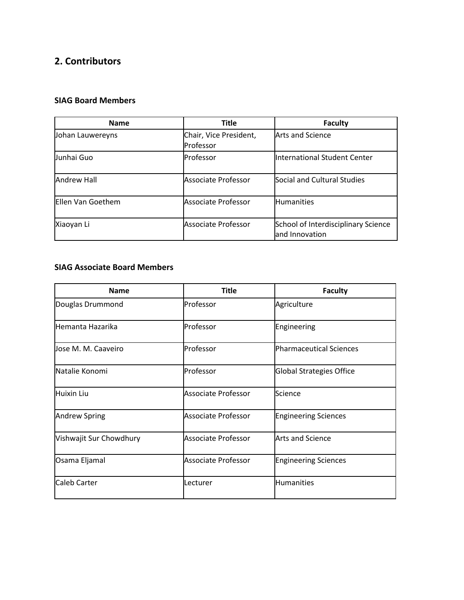## **2. Contributors**

## **SIAG Board Members**

| <b>Name</b>        | <b>Title</b>                        | Faculty                                               |
|--------------------|-------------------------------------|-------------------------------------------------------|
| Johan Lauwereyns   | Chair, Vice President,<br>Professor | <b>Arts and Science</b>                               |
| Junhai Guo         | Professor                           | International Student Center                          |
| <b>Andrew Hall</b> | Associate Professor                 | Social and Cultural Studies                           |
| Ellen Van Goethem  | Associate Professor                 | <b>Humanities</b>                                     |
| Xiaoyan Li         | <b>Associate Professor</b>          | School of Interdisciplinary Science<br>and Innovation |

#### **SIAG Associate Board Members**

| <b>Name</b>             | <b>Title</b>               | <b>Faculty</b>              |
|-------------------------|----------------------------|-----------------------------|
| Douglas Drummond        | Professor                  | Agriculture                 |
| Hemanta Hazarika        | Professor                  | Engineering                 |
| Jose M. M. Caaveiro     | Professor                  | Pharmaceutical Sciences     |
| Natalie Konomi          | Professor                  | Global Strategies Office    |
| <b>Huixin Liu</b>       | <b>Associate Professor</b> | Science                     |
| <b>Andrew Spring</b>    | <b>Associate Professor</b> | <b>Engineering Sciences</b> |
| Vishwajit Sur Chowdhury | <b>Associate Professor</b> | Arts and Science            |
| Osama Eljamal           | <b>Associate Professor</b> | <b>Engineering Sciences</b> |
| Caleb Carter            | Lecturer                   | <b>Humanities</b>           |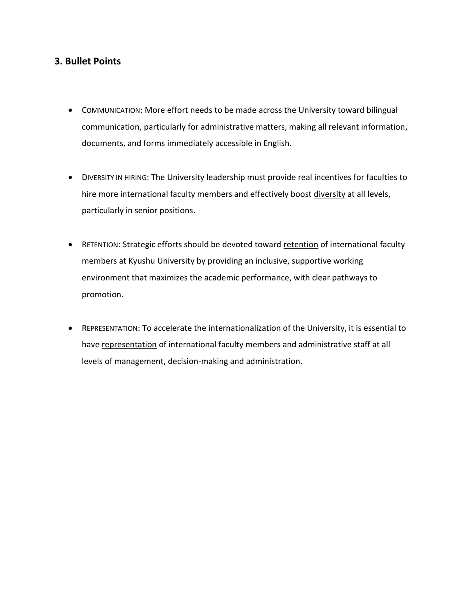## **3. Bullet Points**

- COMMUNICATION: More effort needs to be made across the University toward bilingual communication, particularly for administrative matters, making all relevant information, documents, and forms immediately accessible in English.
- DIVERSITY IN HIRING: The University leadership must provide real incentives for faculties to hire more international faculty members and effectively boost diversity at all levels, particularly in senior positions.
- RETENTION: Strategic efforts should be devoted toward retention of international faculty members at Kyushu University by providing an inclusive, supportive working environment that maximizes the academic performance, with clear pathways to promotion.
- REPRESENTATION: To accelerate the internationalization of the University, it is essential to have representation of international faculty members and administrative staff at all levels of management, decision-making and administration.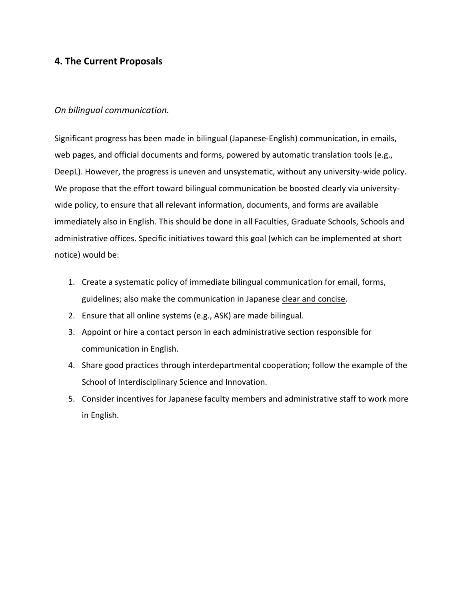## **4. The Current Proposals**

## *On bilingual communication.*

Significant progress has been made in bilingual (Japanese-English) communication, in emails, web pages, and official documents and forms, powered by automatic translation tools (e.g., DeepL). However, the progress is uneven and unsystematic, without any university-wide policy. We propose that the effort toward bilingual communication be boosted clearly via universitywide policy, to ensure that all relevant information, documents, and forms are available immediately also in English. This should be done in all Faculties, Graduate Schools, Schools and administrative offices. Specific initiatives toward this goal (which can be implemented at short notice) would be:

- 1. Create a systematic policy of immediate bilingual communication for email, forms, guidelines; also make the communication in Japanese clear and concise.
- 2. Ensure that all online systems (e.g., ASK) are made bilingual.
- 3. Appoint or hire a contact person in each administrative section responsible for communication in English.
- 4. Share good practices through interdepartmental cooperation; follow the example of the School of Interdisciplinary Science and Innovation.
- 5. Consider incentives for Japanese faculty members and administrative staff to work more in English.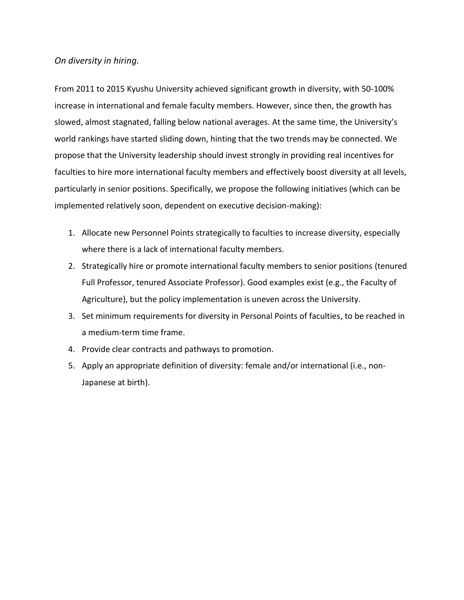## *On diversity in hiring.*

From 2011 to 2015 Kyushu University achieved significant growth in diversity, with 50-100% increase in international and female faculty members. However, since then, the growth has slowed, almost stagnated, falling below national averages. At the same time, the University's world rankings have started sliding down, hinting that the two trends may be connected. We propose that the University leadership should invest strongly in providing real incentives for faculties to hire more international faculty members and effectively boost diversity at all levels, particularly in senior positions. Specifically, we propose the following initiatives (which can be implemented relatively soon, dependent on executive decision-making):

- 1. Allocate new Personnel Points strategically to faculties to increase diversity, especially where there is a lack of international faculty members.
- 2. Strategically hire or promote international faculty members to senior positions (tenured Full Professor, tenured Associate Professor). Good examples exist (e.g., the Faculty of Agriculture), but the policy implementation is uneven across the University.
- 3. Set minimum requirements for diversity in Personal Points of faculties, to be reached in a medium-term time frame.
- 4. Provide clear contracts and pathways to promotion.
- 5. Apply an appropriate definition of diversity: female and/or international (i.e., non-Japanese at birth).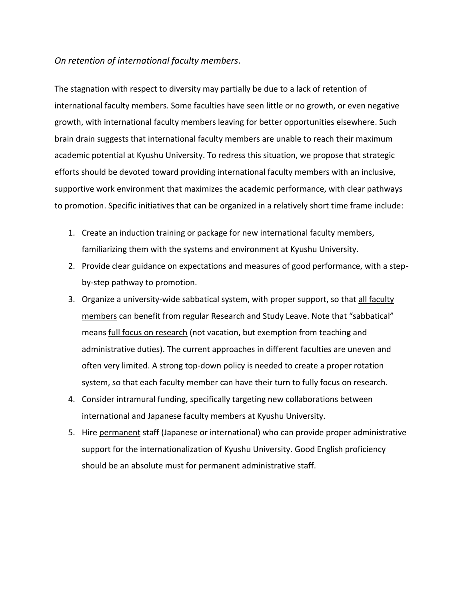### *On retention of international faculty members.*

The stagnation with respect to diversity may partially be due to a lack of retention of international faculty members. Some faculties have seen little or no growth, or even negative growth, with international faculty members leaving for better opportunities elsewhere. Such brain drain suggests that international faculty members are unable to reach their maximum academic potential at Kyushu University. To redress this situation, we propose that strategic efforts should be devoted toward providing international faculty members with an inclusive, supportive work environment that maximizes the academic performance, with clear pathways to promotion. Specific initiatives that can be organized in a relatively short time frame include:

- 1. Create an induction training or package for new international faculty members, familiarizing them with the systems and environment at Kyushu University.
- 2. Provide clear guidance on expectations and measures of good performance, with a stepby-step pathway to promotion.
- 3. Organize a university-wide sabbatical system, with proper support, so that all faculty members can benefit from regular Research and Study Leave. Note that "sabbatical" means full focus on research (not vacation, but exemption from teaching and administrative duties). The current approaches in different faculties are uneven and often very limited. A strong top-down policy is needed to create a proper rotation system, so that each faculty member can have their turn to fully focus on research.
- 4. Consider intramural funding, specifically targeting new collaborations between international and Japanese faculty members at Kyushu University.
- 5. Hire permanent staff (Japanese or international) who can provide proper administrative support for the internationalization of Kyushu University. Good English proficiency should be an absolute must for permanent administrative staff.